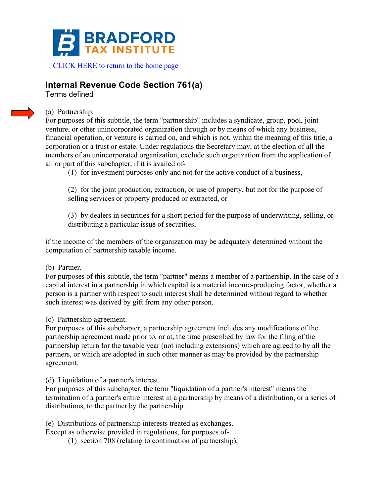

## **Internal Revenue Code Section 761(a)**

Terms defined

## (a) Partnership.

For purposes of this subtitle, the term "partnership" includes a syndicate, group, pool, joint venture, or other unincorporated organization through or by means of which any business, financial operation, or venture is carried on, and which is not, within the meaning of this title, a corporation or a trust or estate. Under regulations the Secretary may, at the election of all the members of an unincorporated organization, exclude such organization from the application of all or part of this subchapter, if it is availed of-

(1) for investment purposes only and not for the active conduct of a business,

(2) for the joint production, extraction, or use of property, but not for the purpose of selling services or property produced or extracted, or

(3) by dealers in securities for a short period for the purpose of underwriting, selling, or distributing a particular issue of securities,

if the income of the members of the organization may be adequately determined without the computation of partnership taxable income.

## (b) Partner.

For purposes of this subtitle, the term "partner" means a member of a partnership. In the case of a capital interest in a partnership in which capital is a material income-producing factor, whether a person is a partner with respect to such interest shall be determined without regard to whether such interest was derived by gift from any other person.

(c) Partnership agreement.

For purposes of this subchapter, a partnership agreement includes any modifications of the partnership agreement made prior to, or at, the time prescribed by law for the filing of the partnership return for the taxable year (not including extensions) which are agreed to by all the partners, or which are adopted in such other manner as may be provided by the partnership agreement.

(d) Liquidation of a partner's interest.

For purposes of this subchapter, the term "liquidation of a partner's interest" means the termination of a partner's entire interest in a partnership by means of a distribution, or a series of distributions, to the partner by the partnership.

(e) Distributions of partnership interests treated as exchanges.

Except as otherwise provided in regulations, for purposes of-

(1) section 708 (relating to continuation of partnership),